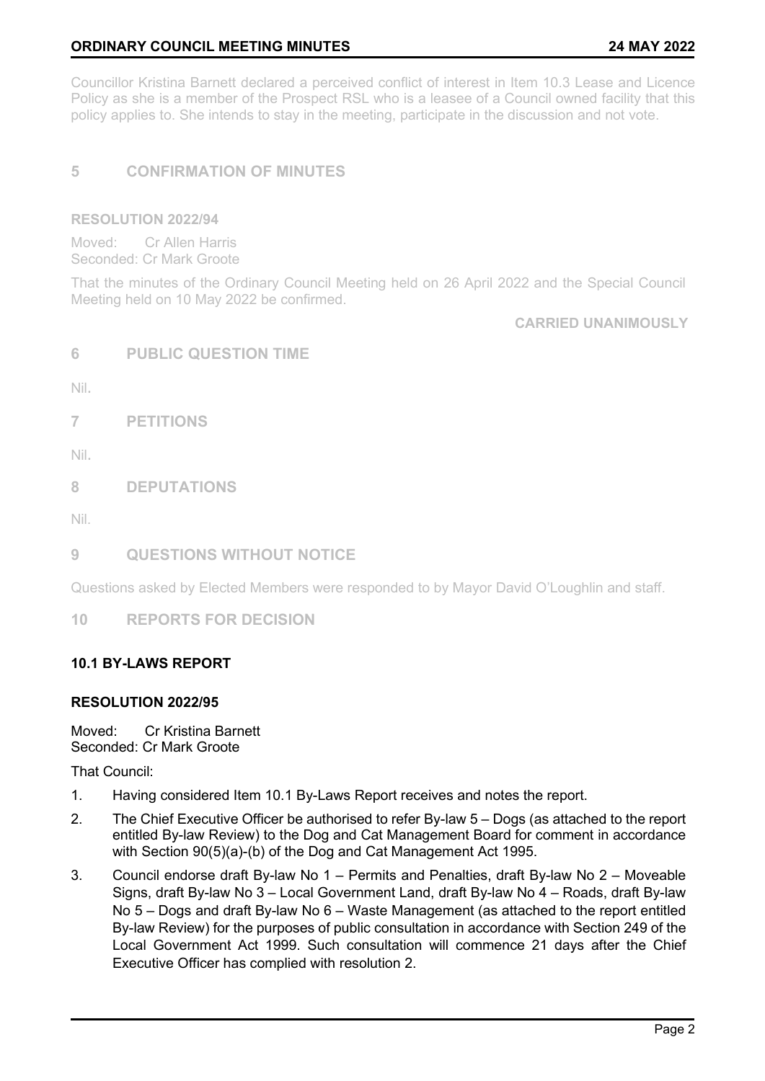# **ORDINARY COUNCIL MEETING MINUTES 24 MAY 2022**

Councillor Kristina Barnett declared a perceived conflict of interest in Item 10.3 Lease and Licence Policy as she is a member of the Prospect RSL who is a leasee of a Council owned facility that this policy applies to. She intends to stay in the meeting, participate in the discussion and not vote.

# **5 CONFIRMATION OF MINUTES**

#### **RESOLUTION 2022/94**

Moved: Cr Allen Harris Seconded: Cr Mark Groote

That the minutes of the Ordinary Council Meeting held on 26 April 2022 and the Special Council Meeting held on 10 May 2022 be confirmed.

**CARRIED UNANIMOUSLY** 

|  | <b>PUBLIC QUESTION TIME</b> |  |  |  |  |
|--|-----------------------------|--|--|--|--|
|--|-----------------------------|--|--|--|--|

Nil.

**7 PETITIONS** 

Nil.

**8 DEPUTATIONS** 

Nil.

## **9 QUESTIONS WITHOUT NOTICE**

Questions asked by Elected Members were responded to by Mayor David O'Loughlin and staff.

**10 REPORTS FOR DECISION** 

## **10.1 BY-LAWS REPORT**

## **RESOLUTION 2022/95**

Moved: Cr Kristina Barnett Seconded: Cr Mark Groote

That Council:

- 1. Having considered Item 10.1 By-Laws Report receives and notes the report.
- 2. The Chief Executive Officer be authorised to refer By-law 5 Dogs (as attached to the report entitled By-law Review) to the Dog and Cat Management Board for comment in accordance with Section 90(5)(a)-(b) of the Dog and Cat Management Act 1995.
- 3. Council endorse draft By-law No 1 Permits and Penalties, draft By-law No 2 Moveable Signs, draft By-law No 3 – Local Government Land, draft By-law No 4 – Roads, draft By-law No 5 – Dogs and draft By-law No 6 – Waste Management (as attached to the report entitled By-law Review) for the purposes of public consultation in accordance with Section 249 of the Local Government Act 1999. Such consultation will commence 21 days after the Chief Executive Officer has complied with resolution 2.